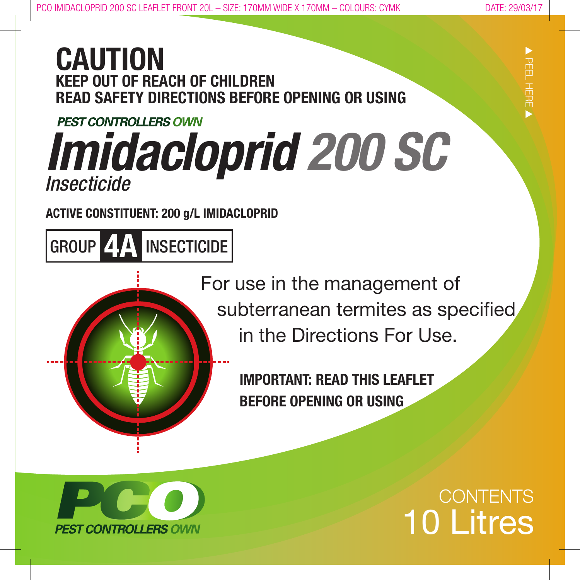s

PEEL HERE

s

# **CAUTION KEEP OUT OF REACH OF CHILDREN READ SAFETY DIRECTIONS BEFORE OPENING OR USING**

# **PEST CONTROLLERS OWN** *Imidacloprid 200 SC Insecticide*

**ACTIVE CONSTITUENT: 200 g/L IMIDACLOPRID**

GROUP **4A** INSECTICIDE

 For use in the management of subterranean termites as specified in the Directions For Use.

> **IMPORTANT: READ THIS LEAFLET BEFORE OPENING OR USING**



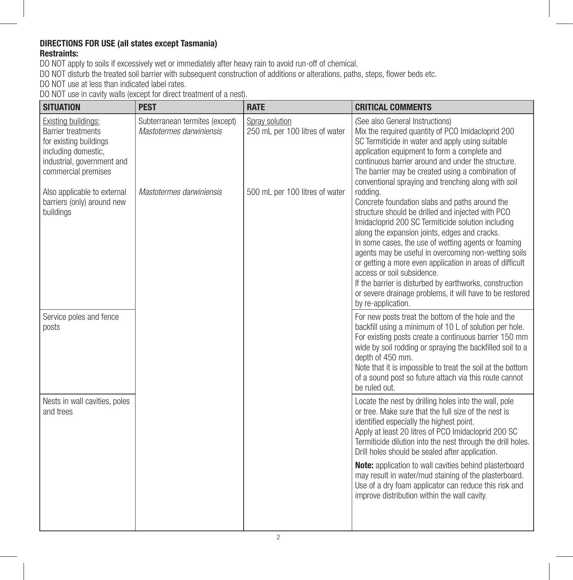#### **DIRECTIONS FOR USE (all states except Tasmania) Restraints:**

DO NOT apply to soils if excessively wet or immediately after heavy rain to avoid run-off of chemical.

DO NOT disturb the treated soil barrier with subsequent construction of additions or alterations, paths, steps, flower beds etc.

DO NOT use at less than indicated label rates.

DO NOT use in cavity walls (except for direct treatment of a nest).

| <b>SITUATION</b>                                                                                                                                       | <b>PEST</b>                                                | <b>RATE</b>                                      | <b>CRITICAL COMMENTS</b>                                                                                                                                                                                                                                                                                                                                                                                                                                                                                                                                                     |
|--------------------------------------------------------------------------------------------------------------------------------------------------------|------------------------------------------------------------|--------------------------------------------------|------------------------------------------------------------------------------------------------------------------------------------------------------------------------------------------------------------------------------------------------------------------------------------------------------------------------------------------------------------------------------------------------------------------------------------------------------------------------------------------------------------------------------------------------------------------------------|
| Existing buildings:<br><b>Barrier treatments</b><br>for existing buildings<br>including domestic,<br>industrial, government and<br>commercial premises | Subterranean termites (except)<br>Mastotermes darwiniensis | Spray solution<br>250 mL per 100 litres of water | (See also General Instructions)<br>Mix the required quantity of PCO Imidacloprid 200<br>SC Termiticide in water and apply using suitable<br>application equipment to form a complete and<br>continuous barrier around and under the structure.<br>The barrier may be created using a combination of<br>conventional spraying and trenching along with soil                                                                                                                                                                                                                   |
| Also applicable to external<br>barriers (only) around new<br>buildings                                                                                 | Mastotermes darwiniensis                                   | 500 mL per 100 litres of water                   | rodding.<br>Concrete foundation slabs and paths around the<br>structure should be drilled and injected with PCO<br>Imidacloprid 200 SC Termiticide solution including<br>along the expansion joints, edges and cracks.<br>In some cases, the use of wetting agents or foaming<br>agents may be useful in overcoming non-wetting soils<br>or getting a more even application in areas of difficult<br>access or soil subsidence.<br>If the barrier is disturbed by earthworks, construction<br>or severe drainage problems, it will have to be restored<br>by re-application. |
| Service poles and fence<br>posts                                                                                                                       |                                                            |                                                  | For new posts treat the bottom of the hole and the<br>backfill using a minimum of 10 L of solution per hole.<br>For existing posts create a continuous barrier 150 mm<br>wide by soil rodding or spraying the backfilled soil to a<br>depth of 450 mm.<br>Note that it is impossible to treat the soil at the bottom<br>of a sound post so future attach via this route cannot<br>be ruled out.                                                                                                                                                                              |
| Nests in wall cavities, poles<br>and trees                                                                                                             |                                                            |                                                  | Locate the nest by drilling holes into the wall, pole<br>or tree. Make sure that the full size of the nest is<br>identified especially the highest point.<br>Apply at least 20 litres of PCO Imidacloprid 200 SC<br>Termiticide dilution into the nest through the drill holes.<br>Drill holes should be sealed after application.                                                                                                                                                                                                                                           |
|                                                                                                                                                        |                                                            |                                                  | Note: application to wall cavities behind plasterboard<br>may result in water/mud staining of the plasterboard.<br>Use of a dry foam applicator can reduce this risk and<br>improve distribution within the wall cavity.                                                                                                                                                                                                                                                                                                                                                     |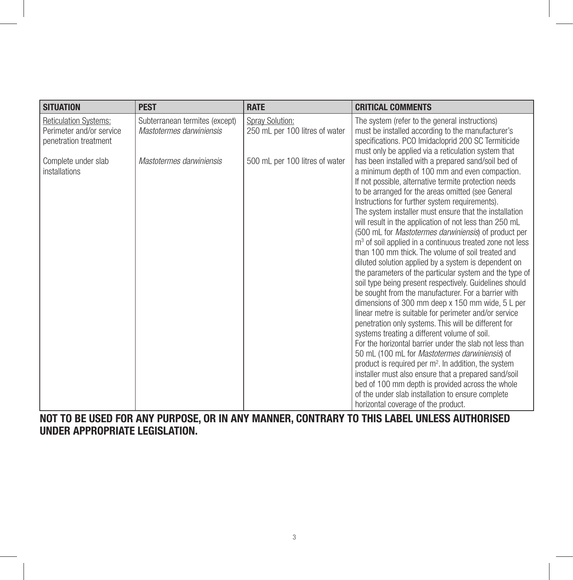| <b>SITUATION</b>                                                                  | <b>PEST</b>                                                | <b>RATE</b>                                       | <b>CRITICAL COMMENTS</b>                                                                                                                                                                                                                                                                                                                                                                                                                                                                                                                                                                                                                                                                                                                                                                                                                                                                                                                                                                                                                                                                                                                                                                                                                                                                                                                                                                                                                  |
|-----------------------------------------------------------------------------------|------------------------------------------------------------|---------------------------------------------------|-------------------------------------------------------------------------------------------------------------------------------------------------------------------------------------------------------------------------------------------------------------------------------------------------------------------------------------------------------------------------------------------------------------------------------------------------------------------------------------------------------------------------------------------------------------------------------------------------------------------------------------------------------------------------------------------------------------------------------------------------------------------------------------------------------------------------------------------------------------------------------------------------------------------------------------------------------------------------------------------------------------------------------------------------------------------------------------------------------------------------------------------------------------------------------------------------------------------------------------------------------------------------------------------------------------------------------------------------------------------------------------------------------------------------------------------|
| <b>Reticulation Systems:</b><br>Perimeter and/or service<br>penetration treatment | Subterranean termites (except)<br>Mastotermes darwiniensis | Spray Solution:<br>250 mL per 100 litres of water | The system (refer to the general instructions)<br>must be installed according to the manufacturer's<br>specifications. PCO Imidacloprid 200 SC Termiticide<br>must only be applied via a reticulation system that                                                                                                                                                                                                                                                                                                                                                                                                                                                                                                                                                                                                                                                                                                                                                                                                                                                                                                                                                                                                                                                                                                                                                                                                                         |
| Complete under slab<br>installations                                              | Mastotermes darwiniensis                                   | 500 mL per 100 litres of water                    | has been installed with a prepared sand/soil bed of<br>a minimum depth of 100 mm and even compaction.<br>If not possible, alternative termite protection needs<br>to be arranged for the areas omitted (see General<br>Instructions for further system requirements).<br>The system installer must ensure that the installation<br>will result in the application of not less than 250 mL<br>(500 mL for <i>Mastotermes darwiniensis</i> ) of product per<br>m <sup>3</sup> of soil applied in a continuous treated zone not less<br>than 100 mm thick. The volume of soil treated and<br>diluted solution applied by a system is dependent on<br>the parameters of the particular system and the type of<br>soil type being present respectively. Guidelines should<br>be sought from the manufacturer. For a barrier with<br>dimensions of 300 mm deep x 150 mm wide, 5 L per<br>linear metre is suitable for perimeter and/or service<br>penetration only systems. This will be different for<br>systems treating a different volume of soil.<br>For the horizontal barrier under the slab not less than<br>50 mL (100 mL for Mastotermes darwiniensis) of<br>product is required per m <sup>2</sup> . In addition, the system<br>installer must also ensure that a prepared sand/soil<br>bed of 100 mm depth is provided across the whole<br>of the under slab installation to ensure complete<br>horizontal coverage of the product. |

**NOT TO BE USED FOR ANY PURPOSE, OR IN ANY MANNER, CONTRARY TO THIS LABEL UNLESS AUTHORISED UNDER APPROPRIATE LEGISLATION.**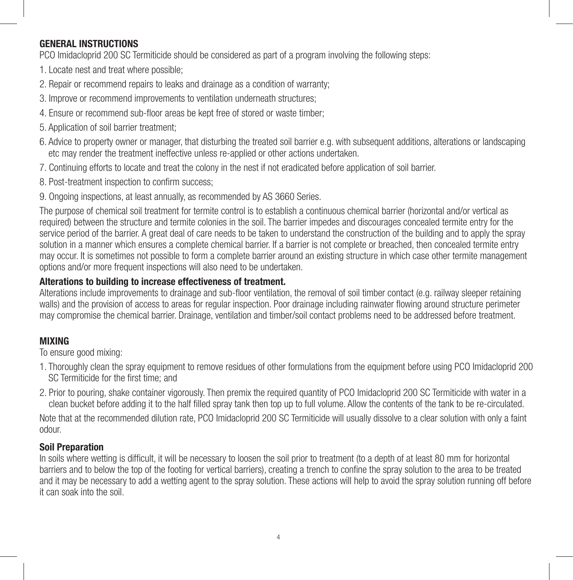# **GENERAL INSTRUCTIONS**

PCO Imidacloprid 200 SC Termiticide should be considered as part of a program involving the following steps:

- 1. Locate nest and treat where possible;
- 2. Repair or recommend repairs to leaks and drainage as a condition of warranty;
- 3. Improve or recommend improvements to ventilation underneath structures;
- 4. Ensure or recommend sub-floor areas be kept free of stored or waste timber;
- 5. Application of soil barrier treatment;
- 6. Advice to property owner or manager, that disturbing the treated soil barrier e.g. with subsequent additions, alterations or landscaping etc may render the treatment ineffective unless re-applied or other actions undertaken.
- 7. Continuing efforts to locate and treat the colony in the nest if not eradicated before application of soil barrier.
- 8. Post-treatment inspection to confirm success;
- 9. Ongoing inspections, at least annually, as recommended by AS 3660 Series.

The purpose of chemical soil treatment for termite control is to establish a continuous chemical barrier (horizontal and/or vertical as required) between the structure and termite colonies in the soil. The barrier impedes and discourages concealed termite entry for the service period of the barrier. A great deal of care needs to be taken to understand the construction of the building and to apply the spray solution in a manner which ensures a complete chemical barrier. If a barrier is not complete or breached, then concealed termite entry may occur. It is sometimes not possible to form a complete barrier around an existing structure in which case other termite management options and/or more frequent inspections will also need to be undertaken.

# **Alterations to building to increase effectiveness of treatment.**

Alterations include improvements to drainage and sub-floor ventilation, the removal of soil timber contact (e.g. railway sleeper retaining walls) and the provision of access to areas for regular inspection. Poor drainage including rainwater flowing around structure perimeter may compromise the chemical barrier. Drainage, ventilation and timber/soil contact problems need to be addressed before treatment.

# **MIXING**

To ensure good mixing:

- 1. Thoroughly clean the spray equipment to remove residues of other formulations from the equipment before using PCO Imidacloprid 200 SC Termiticide for the first time; and
- 2. Prior to pouring, shake container vigorously. Then premix the required quantity of PCO Imidacloprid 200 SC Termiticide with water in a clean bucket before adding it to the half filled spray tank then top up to full volume. Allow the contents of the tank to be re-circulated.

Note that at the recommended dilution rate, PCO Imidacloprid 200 SC Termiticide will usually dissolve to a clear solution with only a faint odour.

# **Soil Preparation**

In soils where wetting is difficult, it will be necessary to loosen the soil prior to treatment (to a depth of at least 80 mm for horizontal barriers and to below the top of the footing for vertical barriers), creating a trench to confine the spray solution to the area to be treated and it may be necessary to add a wetting agent to the spray solution. These actions will help to avoid the spray solution running off before it can soak into the soil.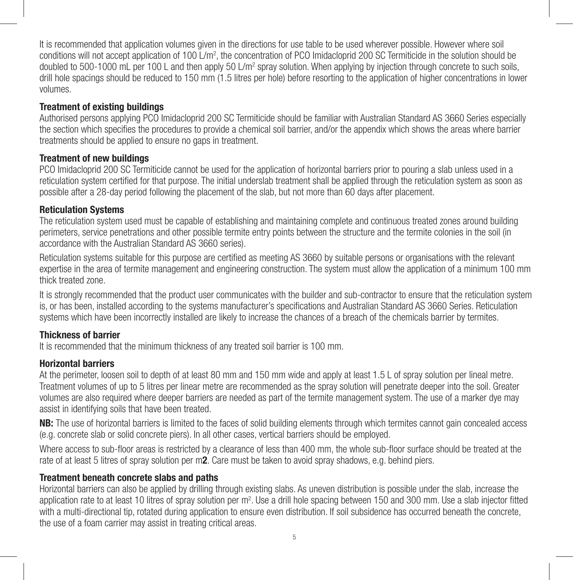It is recommended that application volumes given in the directions for use table to be used wherever possible. However where soil conditions will not accept application of 100 L/m<sup>2</sup>, the concentration of PCO Imidacloprid 200 SC Termiticide in the solution should be doubled to 500-1000 mL per 100 L and then apply 50 L/m² spray solution. When applying by injection through concrete to such soils, drill hole spacings should be reduced to 150 mm (1.5 litres per hole) before resorting to the application of higher concentrations in lower volumes.

#### **Treatment of existing buildings**

Authorised persons applying PCO Imidacloprid 200 SC Termiticide should be familiar with Australian Standard AS 3660 Series especially the section which specifies the procedures to provide a chemical soil barrier, and/or the appendix which shows the areas where barrier treatments should be applied to ensure no gaps in treatment.

### **Treatment of new buildings**

PCO Imidacloprid 200 SC Termiticide cannot be used for the application of horizontal barriers prior to pouring a slab unless used in a reticulation system certified for that purpose. The initial underslab treatment shall be applied through the reticulation system as soon as possible after a 28-day period following the placement of the slab, but not more than 60 days after placement.

### **Reticulation Systems**

The reticulation system used must be capable of establishing and maintaining complete and continuous treated zones around building perimeters, service penetrations and other possible termite entry points between the structure and the termite colonies in the soil (in accordance with the Australian Standard AS 3660 series).

Reticulation systems suitable for this purpose are certified as meeting AS 3660 by suitable persons or organisations with the relevant expertise in the area of termite management and engineering construction. The system must allow the application of a minimum 100 mm thick treated zone.

It is strongly recommended that the product user communicates with the builder and sub-contractor to ensure that the reticulation system is, or has been, installed according to the systems manufacturer's specifications and Australian Standard AS 3660 Series. Reticulation systems which have been incorrectly installed are likely to increase the chances of a breach of the chemicals barrier by termites.

# **Thickness of barrier**

It is recommended that the minimum thickness of any treated soil barrier is 100 mm.

# **Horizontal barriers**

At the perimeter, loosen soil to depth of at least 80 mm and 150 mm wide and apply at least 1.5 L of spray solution per lineal metre. Treatment volumes of up to 5 litres per linear metre are recommended as the spray solution will penetrate deeper into the soil. Greater volumes are also required where deeper barriers are needed as part of the termite management system. The use of a marker dye may assist in identifying soils that have been treated.

**NB:** The use of horizontal barriers is limited to the faces of solid building elements through which termites cannot gain concealed access (e.g. concrete slab or solid concrete piers). In all other cases, vertical barriers should be employed.

Where access to sub-floor areas is restricted by a clearance of less than 400 mm, the whole sub-floor surface should be treated at the rate of at least 5 litres of spray solution per m**2**. Care must be taken to avoid spray shadows, e.g. behind piers.

# **Treatment beneath concrete slabs and paths**

Horizontal barriers can also be applied by drilling through existing slabs. As uneven distribution is possible under the slab, increase the application rate to at least 10 litres of spray solution per m<sup>2</sup>. Use a drill hole spacing between 150 and 300 mm. Use a slab injector fitted with a multi-directional tip, rotated during application to ensure even distribution. If soil subsidence has occurred beneath the concrete, the use of a foam carrier may assist in treating critical areas.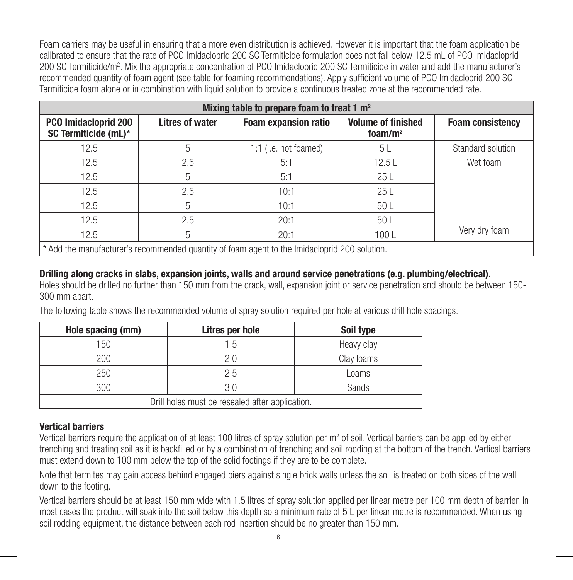Foam carriers may be useful in ensuring that a more even distribution is achieved. However it is important that the foam application be calibrated to ensure that the rate of PCO Imidacloprid 200 SC Termiticide formulation does not fall below 12.5 mL of PCO Imidacloprid 200 SC Termiticide/m2 . Mix the appropriate concentration of PCO Imidacloprid 200 SC Termiticide in water and add the manufacturer's recommended quantity of foam agent (see table for foaming recommendations). Apply sufficient volume of PCO Imidacloprid 200 SC Termiticide foam alone or in combination with liquid solution to provide a continuous treated zone at the recommended rate.

| Mixing table to prepare foam to treat 1 m <sup>2</sup>                                        |                 |                             |                                          |                         |  |
|-----------------------------------------------------------------------------------------------|-----------------|-----------------------------|------------------------------------------|-------------------------|--|
| <b>PCO Imidacloprid 200</b><br>SC Termiticide (mL)*                                           | Litres of water | <b>Foam expansion ratio</b> | <b>Volume of finished</b><br>foam/ $m^2$ | <b>Foam consistency</b> |  |
| 12.5                                                                                          | 5               | 1:1 (i.e. not foamed)       | 5 L                                      | Standard solution       |  |
| 12.5                                                                                          | 2.5             | 5:1                         | 12.5L                                    | Wet foam                |  |
| 12.5                                                                                          | 5               | 5:1                         | 25L                                      |                         |  |
| 12.5                                                                                          | 2.5             | 10:1                        | 25L                                      |                         |  |
| 12.5                                                                                          | 5               | 10:1                        | 50 <sub>L</sub>                          |                         |  |
| 12.5                                                                                          | 2.5             | 20:1                        | 50 L                                     |                         |  |
| 12.5                                                                                          | 5               | 20:1                        | 100L                                     | Very dry foam           |  |
| * Add the manufacturer's recommended quantity of foam agent to the Imidacloprid 200 solution. |                 |                             |                                          |                         |  |

### **Drilling along cracks in slabs, expansion joints, walls and around service penetrations (e.g. plumbing/electrical).**

Holes should be drilled no further than 150 mm from the crack, wall, expansion joint or service penetration and should be between 150- 300 mm apart.

The following table shows the recommended volume of spray solution required per hole at various drill hole spacings.

| Hole spacing (mm)                               | Litres per hole | Soil type  |  |  |
|-------------------------------------------------|-----------------|------------|--|--|
| 150                                             | 1.5             | Heavy clay |  |  |
| 200                                             | 2.0             | Clay loams |  |  |
| 250                                             | 2.5             | Loams      |  |  |
| 300                                             | 3.0             | Sands      |  |  |
| Drill holes must be resealed after application. |                 |            |  |  |

#### **Vertical barriers**

Vertical barriers require the application of at least 100 litres of spray solution per m<sup>2</sup> of soil. Vertical barriers can be applied by either trenching and treating soil as it is backfilled or by a combination of trenching and soil rodding at the bottom of the trench. Vertical barriers must extend down to 100 mm below the top of the solid footings if they are to be complete.

Note that termites may gain access behind engaged piers against single brick walls unless the soil is treated on both sides of the wall down to the footing.

Vertical barriers should be at least 150 mm wide with 1.5 litres of spray solution applied per linear metre per 100 mm depth of barrier. In most cases the product will soak into the soil below this depth so a minimum rate of 5 L per linear metre is recommended. When using soil rodding equipment, the distance between each rod insertion should be no greater than 150 mm.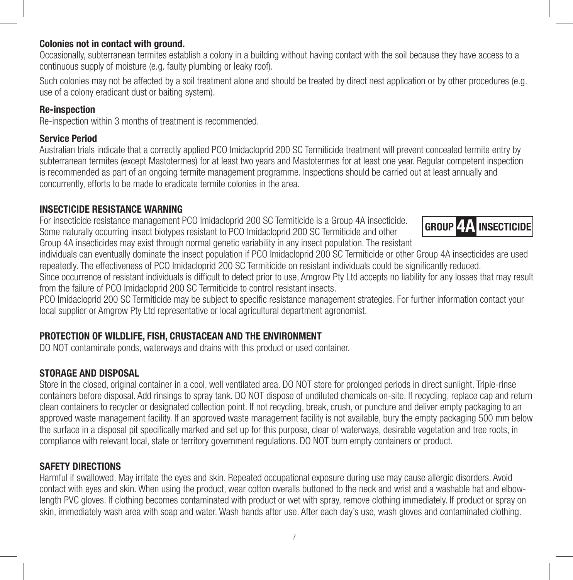# **Colonies not in contact with ground.**

Occasionally, subterranean termites establish a colony in a building without having contact with the soil because they have access to a continuous supply of moisture (e.g. faulty plumbing or leaky roof).

Such colonies may not be affected by a soil treatment alone and should be treated by direct nest application or by other procedures (e.g. use of a colony eradicant dust or baiting system).

#### **Re-inspection**

Re-inspection within 3 months of treatment is recommended.

#### **Service Period**

Australian trials indicate that a correctly applied PCO Imidacloprid 200 SC Termiticide treatment will prevent concealed termite entry by subterranean termites (except Mastotermes) for at least two years and Mastotermes for at least one year. Regular competent inspection is recommended as part of an ongoing termite management programme. Inspections should be carried out at least annually and concurrently, efforts to be made to eradicate termite colonies in the area.

#### **INSECTICIDE RESISTANCE WARNING**

For insecticide resistance management PCO Imidacloprid 200 SC Termiticide is a Group 4A insecticide. Some naturally occurring insect biotypes resistant to PCO Imidacloprid 200 SC Termiticide and other Group 4A insecticides may exist through normal genetic variability in any insect population. The resistant

individuals can eventually dominate the insect population if PCO Imidacloprid 200 SC Termiticide or other Group 4A insecticides are used repeatedly. The effectiveness of PCO Imidacloprid 200 SC Termiticide on resistant individuals could be significantly reduced.

Since occurrence of resistant individuals is difficult to detect prior to use, Amgrow Pty Ltd accepts no liability for any losses that may result from the failure of PCO Imidacloprid 200 SC Termiticide to control resistant insects.

PCO Imidacloprid 200 SC Termiticide may be subject to specific resistance management strategies. For further information contact your local supplier or Amgrow Pty Ltd representative or local agricultural department agronomist.

#### **PROTECTION OF WILDLIFE, FISH, CRUSTACEAN AND THE ENVIRONMENT**

DO NOT contaminate ponds, waterways and drains with this product or used container.

#### **STORAGE AND DISPOSAL**

Store in the closed, original container in a cool, well ventilated area. DO NOT store for prolonged periods in direct sunlight. Triple-rinse containers before disposal. Add rinsings to spray tank. DO NOT dispose of undiluted chemicals on-site. If recycling, replace cap and return clean containers to recycler or designated collection point. If not recycling, break, crush, or puncture and deliver empty packaging to an approved waste management facility. If an approved waste management facility is not available, bury the empty packaging 500 mm below the surface in a disposal pit specifically marked and set up for this purpose, clear of waterways, desirable vegetation and tree roots, in compliance with relevant local, state or territory government regulations. DO NOT burn empty containers or product.

#### **SAFETY DIRECTIONS**

Harmful if swallowed. May irritate the eyes and skin. Repeated occupational exposure during use may cause allergic disorders. Avoid contact with eyes and skin. When using the product, wear cotton overalls buttoned to the neck and wrist and a washable hat and elbowlength PVC gloves. If clothing becomes contaminated with product or wet with spray, remove clothing immediately. If product or spray on skin, immediately wash area with soap and water. Wash hands after use. After each day's use, wash gloves and contaminated clothing.

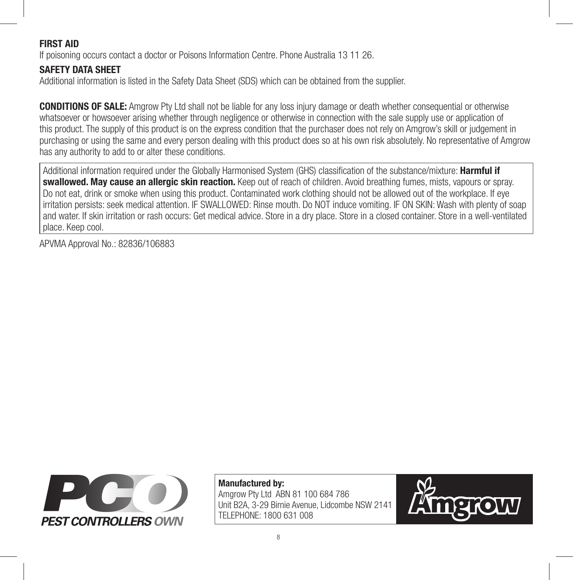# **FIRST AID**

If poisoning occurs contact a doctor or Poisons Information Centre. Phone Australia 13 11 26.

# **SAFETY DATA SHEET**

Additional information is listed in the Safety Data Sheet (SDS) which can be obtained from the supplier.

**CONDITIONS OF SALE:** Amgrow Pty Ltd shall not be liable for any loss injury damage or death whether consequential or otherwise whatsoever or howsoever arising whether through negligence or otherwise in connection with the sale supply use or application of this product. The supply of this product is on the express condition that the purchaser does not rely on Amgrow's skill or judgement in purchasing or using the same and every person dealing with this product does so at his own risk absolutely. No representative of Amgrow has any authority to add to or alter these conditions.

Additional information required under the Globally Harmonised System (GHS) classification of the substance/mixture: **Harmful if swallowed. May cause an allergic skin reaction.** Keep out of reach of children. Avoid breathing fumes, mists, vapours or spray. Do not eat, drink or smoke when using this product. Contaminated work clothing should not be allowed out of the workplace. If eye irritation persists: seek medical attention. IF SWALLOWED: Rinse mouth. Do NOT induce vomiting. IF ON SKIN: Wash with plenty of soap and water. If skin irritation or rash occurs: Get medical advice. Store in a dry place. Store in a closed container. Store in a well-ventilated place. Keep cool.

APVMA Approval No.: 82836/106883



**Manufactured by:**  Amgrow Pty Ltd ABN 81 100 684 786 Unit B2A, 3-29 Birnie Avenue, Lidcombe NSW 2141 TELEPHONE: 1800 631 008

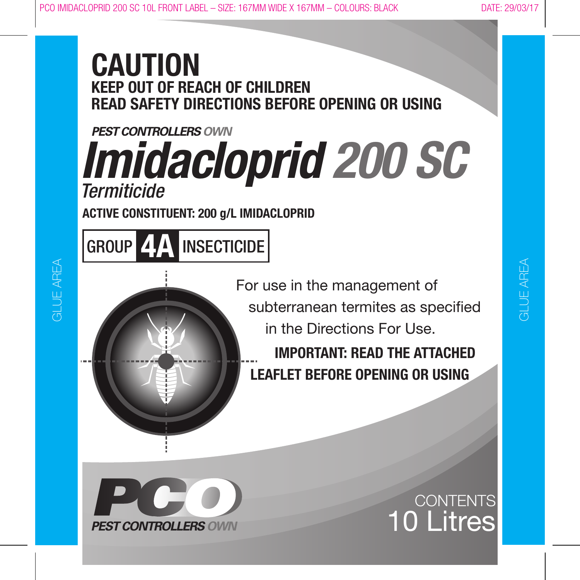# **CAUTION KEEP OUT OF REACH OF CHILDREN READ SAFETY DIRECTIONS BEFORE OPENING OR USING**

# **PEST CONTROLLERS OWN** *Imidacloprid 200 SC Termiticide*

**ACTIVE CONSTITUENT: 200 g/L IMIDACLOPRID**

GROUP **4A** INSECTICIDE

 For use in the management of subterranean termites as specified in the Directions For Use.

 **IMPORTANT: READ THE ATTACHED LEAFLET BEFORE OPENING OR USING**

# CONTENTS 10 Litres